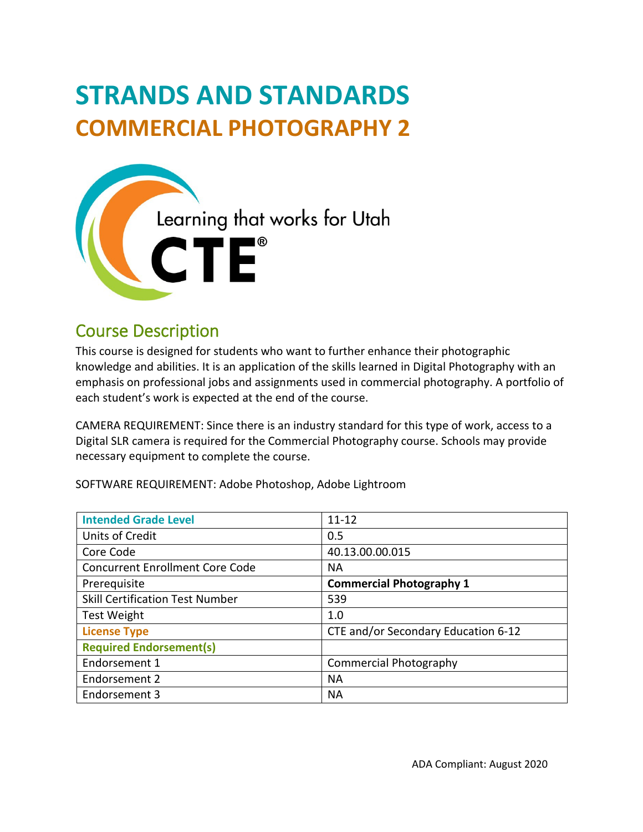# **STRANDS AND STANDARDS COMMERCIAL PHOTOGRAPHY 2**



# Course Description

 This course is designed for students who want to further enhance their photographic knowledge and abilities. It is an application of the skills learned in Digital Photography with an emphasis on professional jobs and assignments used in commercial photography. A portfolio of each student's work is expected at the end of the course.

 CAMERA REQUIREMENT: Since there is an industry standard for this type of work, access to a necessary equipment to complete the course. Digital SLR camera is required for the Commercial Photography course. Schools may provide

SOFTWARE REQUIREMENT: Adobe Photoshop, Adobe Lightroom

| <b>Intended Grade Level</b>            | $11 - 12$                           |
|----------------------------------------|-------------------------------------|
| Units of Credit                        | 0.5                                 |
| Core Code                              | 40.13.00.00.015                     |
| <b>Concurrent Enrollment Core Code</b> | <b>NA</b>                           |
| Prerequisite                           | <b>Commercial Photography 1</b>     |
| <b>Skill Certification Test Number</b> | 539                                 |
| Test Weight                            | 1.0                                 |
| <b>License Type</b>                    | CTE and/or Secondary Education 6-12 |
| <b>Required Endorsement(s)</b>         |                                     |
| Endorsement 1                          | <b>Commercial Photography</b>       |
| Endorsement 2                          | <b>NA</b>                           |
| Endorsement 3                          | <b>NA</b>                           |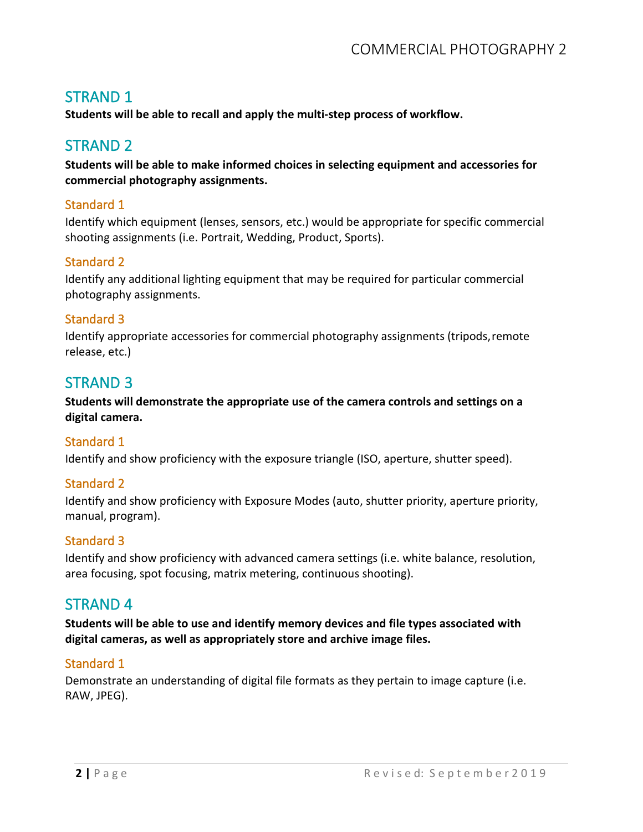# STRAND 1

**Students will be able to recall and apply the multi-step process of workflow.** 

# STRAND 2

**Students will be able to make informed choices in selecting equipment and accessories for commercial photography assignments.** 

#### Standard 1

Identify which equipment (lenses, sensors, etc.) would be appropriate for specific commercial shooting assignments (i.e. Portrait, Wedding, Product, Sports).

#### Standard 2

Identify any additional lighting equipment that may be required for particular commercial photography assignments.

#### Standard 3

Identify appropriate accessories for commercial photography assignments (tripods,remote release, etc.)

### STRAND 3

 **Students will demonstrate the appropriate use of the camera controls and settings on a digital camera.** 

#### Standard 1

Identify and show proficiency with the exposure triangle (ISO, aperture, shutter speed).

#### Standard 2

Identify and show proficiency with Exposure Modes (auto, shutter priority, aperture priority, manual, program).

#### Standard 3

Identify and show proficiency with advanced camera settings (i.e. white balance, resolution, area focusing, spot focusing, matrix metering, continuous shooting).

### STRAND 4

 **Students will be able to use and identify memory devices and file types associated with digital cameras, as well as appropriately store and archive image files.** 

#### Standard 1

Demonstrate an understanding of digital file formats as they pertain to image capture (i.e. RAW, JPEG).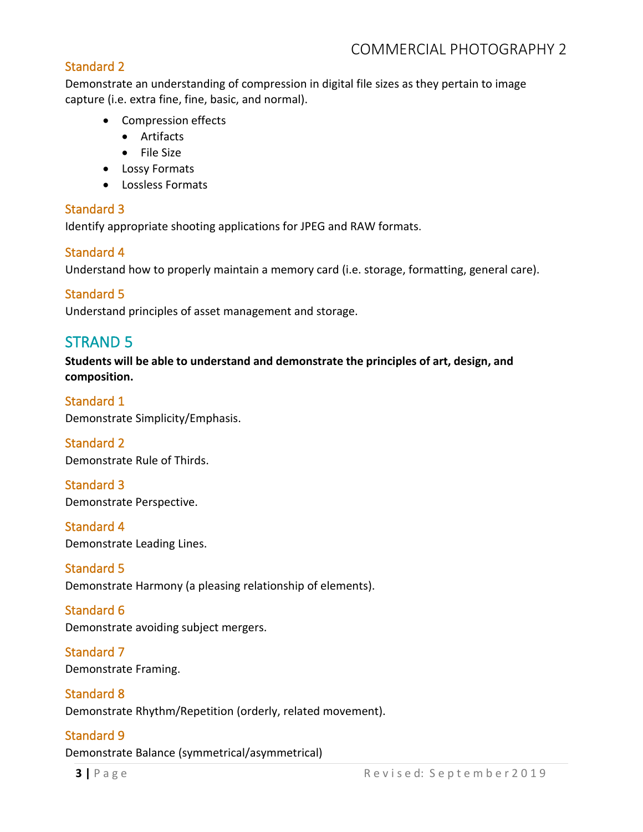#### Standard 2

 capture (i.e. extra fine, fine, basic, and normal). Demonstrate an understanding of compression in digital file sizes as they pertain to image

- Compression effects
	- Artifacts
	- File Size
- Lossy Formats
- Lossless Formats

#### Standard 3

Identify appropriate shooting applications for JPEG and RAW formats.

#### Standard 4

Understand how to properly maintain a memory card (i.e. storage, formatting, general care).

#### Standard 5

Understand principles of asset management and storage.

# STRAND 5

 **Students will be able to understand and demonstrate the principles of art, design, and composition.** 

#### Standard 1 Demonstrate Simplicity/Emphasis.

Standard 2 Demonstrate Rule of Thirds.

Standard 3 Demonstrate Perspective.

Standard 4 Demonstrate Leading Lines.

# Standard 5

Demonstrate Harmony (a pleasing relationship of elements).

# Standard 6

Demonstrate avoiding subject mergers.

#### Standard 7 Demonstrate Framing.

#### Standard 8

Demonstrate Rhythm/Repetition (orderly, related movement).

#### Standard 9

Demonstrate Balance (symmetrical/asymmetrical)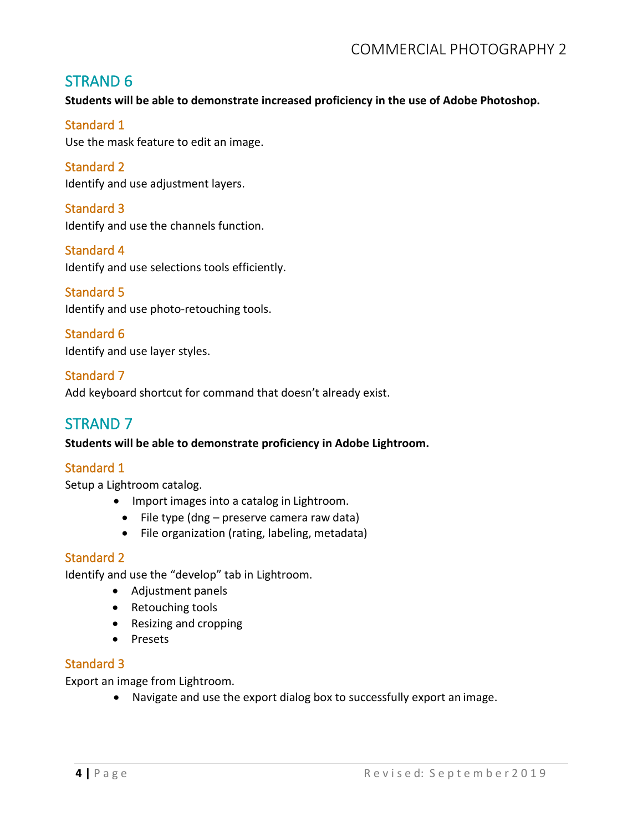# STRAND 6

 **Students will be able to demonstrate increased proficiency in the use of Adobe Photoshop.** 

#### Standard 1

Use the mask feature to edit an image.

Standard 2 Identify and use adjustment layers.

Standard 3 Identify and use the channels function.

Standard 4 Identify and use selections tools efficiently.

#### Standard 5

Identify and use photo-retouching tools.

Standard 6 Identify and use layer styles.

Standard 7 Add keyboard shortcut for command that doesn't already exist.

# STRAND 7

#### **Students will be able to demonstrate proficiency in Adobe Lightroom.**

#### Standard 1

Setup a Lightroom catalog.

- Import images into a catalog in Lightroom.
- File type (dng preserve camera raw data)
- File organization (rating, labeling, metadata)

#### Standard 2

Identify and use the "develop" tab in Lightroom.

- Adjustment panels
- Retouching tools
- Resizing and cropping
- Presets

#### Standard 3

Export an image from Lightroom.

• Navigate and use the export dialog box to successfully export an image.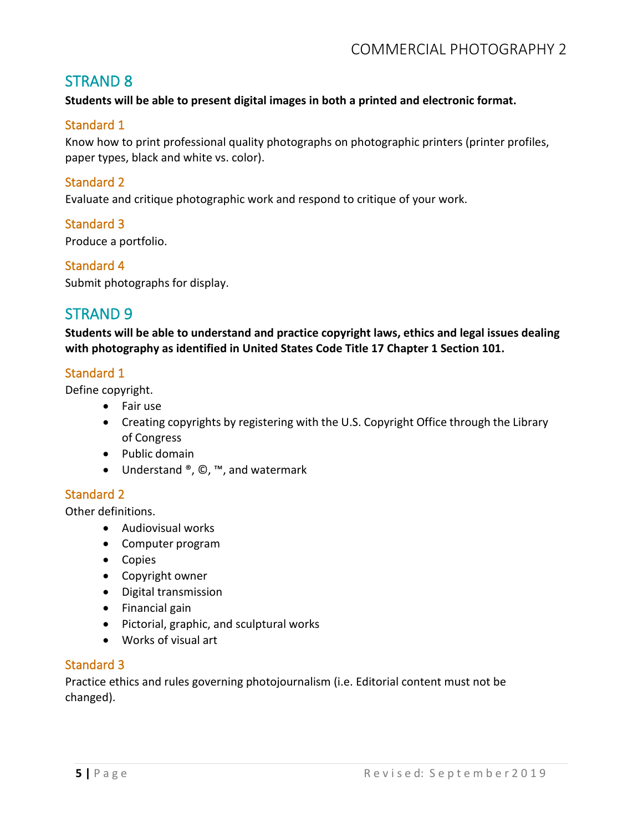# STRAND 8

**Students will be able to present digital images in both a printed and electronic format.** 

#### Standard 1

 Know how to print professional quality photographs on photographic printers (printer profiles, paper types, black and white vs. color).

#### Standard 2

Evaluate and critique photographic work and respond to critique of your work.

#### Standard 3

Produce a portfolio.

#### Standard 4

Submit photographs for display.

## STRAND 9

 **Students will be able to understand and practice copyright laws, ethics and legal issues dealing with photography as identified in United States Code Title 17 Chapter 1 Section 101.** 

#### Standard 1

Define copyright.

- Fair use
- • Creating copyrights by registering with the U.S. Copyright Office through the Library of Congress
- Public domain
- Understand ®, ©, ™, and watermark

#### Standard 2

Other definitions.

- Audiovisual works
- Computer program
- Copies
- Copyright owner
- Digital transmission
- Financial gain
- Pictorial, graphic, and sculptural works
- Works of visual art

#### Standard 3

 Practice ethics and rules governing photojournalism (i.e. Editorial content must not be changed).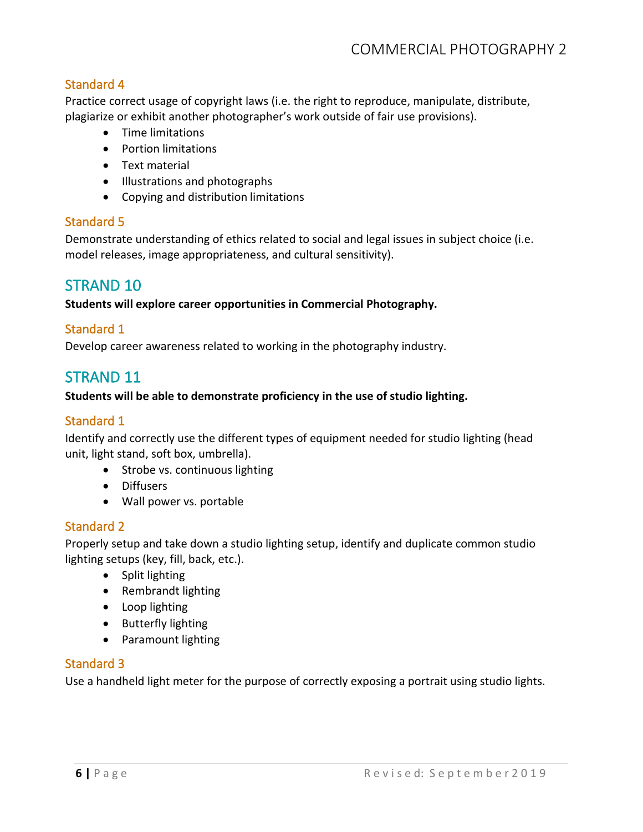#### Standard 4

 Practice correct usage of copyright laws (i.e. the right to reproduce, manipulate, distribute, plagiarize or exhibit another photographer's work outside of fair use provisions).

- Time limitations
- Portion limitations
- Text material
- Illustrations and photographs
- Copying and distribution limitations

#### Standard 5

 Demonstrate understanding of ethics related to social and legal issues in subject choice (i.e. model releases, image appropriateness, and cultural sensitivity).

## STRAND 10

**Students will explore career opportunities in Commercial Photography.** 

#### Standard 1

Develop career awareness related to working in the photography industry.

# STRAND 11

#### **Students will be able to demonstrate proficiency in the use of studio lighting.**

#### Standard 1

 Identify and correctly use the different types of equipment needed for studio lighting (head unit, light stand, soft box, umbrella).

- Strobe vs. continuous lighting
- Diffusers
- Wall power vs. portable

#### Standard 2

Properly setup and take down a studio lighting setup, identify and duplicate common studio lighting setups (key, fill, back, etc.).

- Split lighting
- Rembrandt lighting
- Loop lighting
- Butterfly lighting
- Paramount lighting

#### Standard 3

Use a handheld light meter for the purpose of correctly exposing a portrait using studio lights.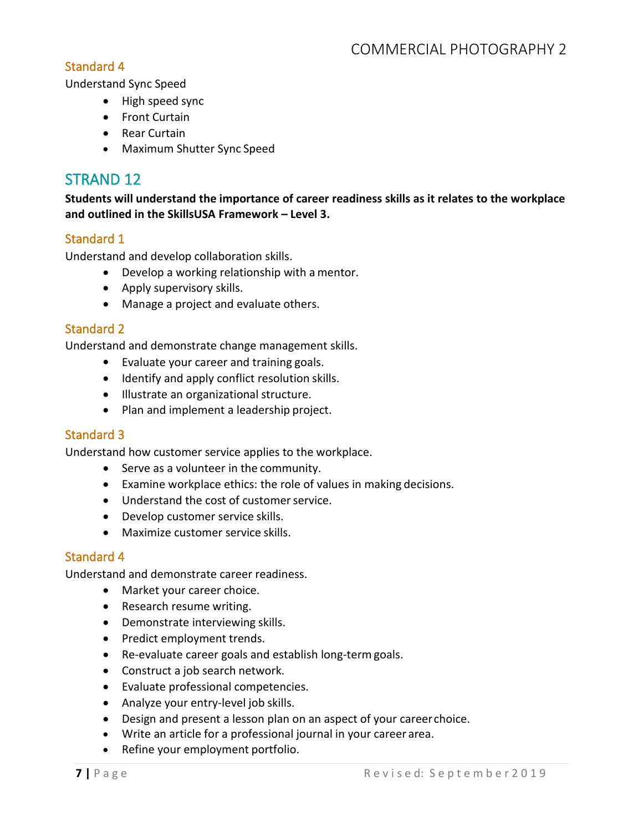#### Standard 4

Understand Sync Speed

- High speed sync
- Front Curtain
- Rear Curtain
- Maximum Shutter Sync Speed

# STRAND 12

 **Students will understand the importance of career readiness skills as it relates to the workplace and outlined in the SkillsUSA Framework – Level 3.** 

#### Standard 1

Understand and develop collaboration skills.

- Develop a working relationship with a mentor.
- Apply supervisory skills.
- Manage a project and evaluate others.

#### Standard 2

Understand and demonstrate change management skills.

- Evaluate your career and training goals.
- Identify and apply conflict resolution skills.
- Illustrate an organizational structure.
- Plan and implement a leadership project.

#### Standard 3

Understand how customer service applies to the workplace.

- Serve as a volunteer in the community.
- Examine workplace ethics: the role of values in making decisions.
- Understand the cost of customer service.
- Develop customer service skills.
- Maximize customer service skills.

#### Standard 4

Understand and demonstrate career readiness.

- Market your career choice.
- Research resume writing.
- Demonstrate interviewing skills.
- Predict employment trends.
- Re-evaluate career goals and establish long-term goals.
- Construct a job search network.
- Evaluate professional competencies.
- Analyze your entry-level job skills.
- Design and present a lesson plan on an aspect of your career choice.
- Write an article for a professional journal in your career area.
- Refine your employment portfolio.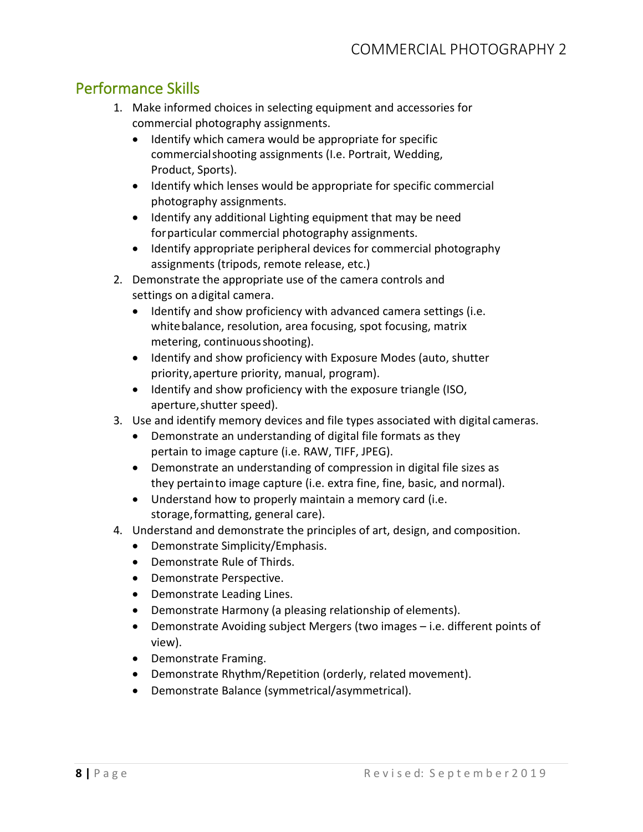# Performance Skills

- 1. Make informed choices in selecting equipment and accessories for commercial photography assignments.
	- Product, Sports). • Identify which camera would be appropriate for specific commercialshooting assignments (I.e. Portrait, Wedding,
	- • Identify which lenses would be appropriate for specific commercial photography assignments.
	- Identify any additional Lighting equipment that may be need forparticular commercial photography assignments.
	- Identify appropriate peripheral devices for commercial photography assignments (tripods, remote release, etc.)
- 2. Demonstrate the appropriate use of the camera controls and settings on adigital camera.
	- metering, continuous shooting). • Identify and show proficiency with advanced camera settings (i.e. white balance, resolution, area focusing, spot focusing, matrix
	- priority,aperture priority, manual, program). • Identify and show proficiency with Exposure Modes (auto, shutter
	- Identify and show proficiency with the exposure triangle (ISO, aperture,shutter speed).
- 3. Use and identify memory devices and file types associated with digital cameras.
	- • Demonstrate an understanding of digital file formats as they pertain to image capture (i.e. RAW, TIFF, JPEG).
	- they pertainto image capture (i.e. extra fine, fine, basic, and normal). • Demonstrate an understanding of compression in digital file sizes as
	- • Understand how to properly maintain a memory card (i.e. storage,formatting, general care).
- 4. Understand and demonstrate the principles of art, design, and composition.
	- Demonstrate Simplicity/Emphasis.
	- Demonstrate Rule of Thirds.
	- Demonstrate Perspective.
	- Demonstrate Leading Lines.
	- Demonstrate Harmony (a pleasing relationship of elements). •
	- Demonstrate Avoiding subject Mergers (two images – i.e. different points of view).
	- Demonstrate Framing.
	- Demonstrate Rhythm/Repetition (orderly, related movement).
	- Demonstrate Balance (symmetrical/asymmetrical).